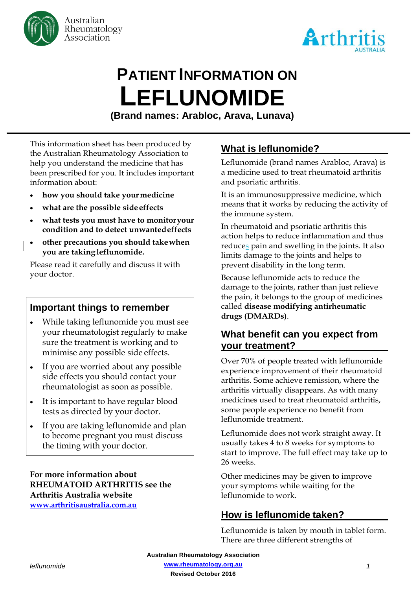



# **PATIENT INFORMATION ON LEFLUNOMIDE**

**(Brand names: Arabloc, Arava, Lunava)**

This information sheet has been produced by the Australian Rheumatology Association to help you understand the medicine that has been prescribed for you. It includes important information about:

- **how you should take yourmedicine**
- **what are the possible sideeffects**
- **what tests you must have to monitoryour condition and to detect unwantedeffects**
- **other precautions you should takewhen you are takingleflunomide.**

Please read it carefully and discuss it with your doctor.

# **Important things to remember**

- While taking leflunomide you must see your rheumatologist regularly to make sure the treatment is working and to minimise any possible side effects.
- If you are worried about any possible side effects you should contact your rheumatologist as soon as possible.
- It is important to have regular blood tests as directed by your doctor.
- If you are taking leflunomide and plan to become pregnant you must discuss the timing with your doctor.

#### **For more information about RHEUMATOID ARTHRITIS see the Arthritis Australia website [www.arthritisaustralia.com.au](http://www.arthritisaustralia.com.au/)**

# **What is leflunomide?**

Leflunomide (brand names Arabloc, Arava) is a medicine used to treat rheumatoid arthritis and psoriatic arthritis.

It is an immunosuppressive medicine, which means that it works by reducing the activity of the immune system.

In rheumatoid and psoriatic arthritis this action helps to reduce inflammation and thus reduces pain and swelling in the joints. It also limits damage to the joints and helps to prevent disability in the long term.

Because leflunomide acts to reduce the damage to the joints, rather than just relieve the pain, it belongs to the group of medicines called **disease modifying antirheumatic drugs (DMARDs)**.

# **What benefit can you expect from your treatment?**

Over 70% of people treated with leflunomide experience improvement of their rheumatoid arthritis. Some achieve remission, where the arthritis virtually disappears. As with many medicines used to treat rheumatoid arthritis, some people experience no benefit from leflunomide treatment.

Leflunomide does not work straight away. It usually takes 4 to 8 weeks for symptoms to start to improve. The full effect may take up to 26 weeks.

Other medicines may be given to improve your symptoms while waiting for the leflunomide to work.

# **How is leflunomide taken?**

Leflunomide is taken by mouth in tablet form. There are three different strengths of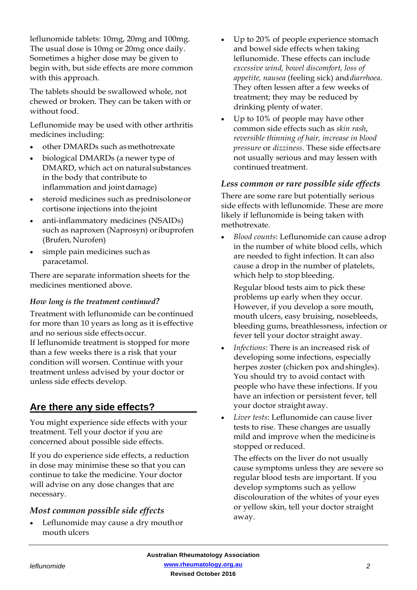leflunomide tablets: 10mg, 20mg and 100mg. The usual dose is 10mg or 20mg once daily. Sometimes a higher dose may be given to begin with, but side effects are more common with this approach.

The tablets should be swallowed whole, not chewed or broken. They can be taken with or without food.

Leflunomide may be used with other arthritis medicines including:

- other DMARDs such as methotrexate
- biological DMARDs (a newer type of DMARD, which act on naturalsubstances in the body that contribute to inflammation and jointdamage)
- steroid medicines such as prednisolone or cortisone injections into thejoint
- anti-inflammatory medicines (NSAIDs) such as naproxen (Naprosyn) oribuprofen (Brufen, Nurofen)
- simple pain medicines such as paracetamol.

There are separate information sheets for the medicines mentioned above.

#### *How long is the treatment continued?*

Treatment with leflunomide can be continued for more than 10 years as long as it is effective and no serious side effectsoccur. If leflunomide treatment is stopped for more than a few weeks there is a risk that your condition will worsen. Continue with your treatment unless advised by your doctor or unless side effects develop.

# **Are there any side effects?**

You might experience side effects with your treatment. Tell your doctor if you are concerned about possible side effects.

If you do experience side effects, a reduction in dose may minimise these so that you can continue to take the medicine. Your doctor will advise on any dose changes that are necessary.

#### *Most common possible side effects*

• Leflunomide may cause a dry mouthor mouth ulcers

- Up to 20% of people experience stomach and bowel side effects when taking leflunomide. These effects can include *excessive wind, bowel discomfort, loss of appetite, nausea* (feeling sick) and*diarrhoea*. They often lessen after a few weeks of treatment; they may be reduced by drinking plenty ofwater.
- Up to 10% of people may have other common side effects such as *skin rash*, *reversible thinning of hair, increase in blood pressure* or *dizziness*. These side effectsare not usually serious and may lessen with continued treatment.

#### *Less common or rare possible side effects*

There are some rare but potentially serious side effects with leflunomide. These are more likely if leflunomide is being taken with methotrexate.

• *Blood counts*: Leflunomide can cause adrop in the number of white blood cells, which are needed to fight infection. It can also cause a drop in the number of platelets, which help to stop bleeding.

Regular blood tests aim to pick these problems up early when they occur. However, if you develop a sore mouth, mouth ulcers, easy bruising, nosebleeds, bleeding gums, breathlessness, infection or fever tell your doctor straight away.

- *Infections:* There is an increased risk of developing some infections, especially herpes zoster (chicken pox andshingles). You should try to avoid contact with people who have these infections. If you have an infection or persistent fever, tell your doctor straight away.
- *Liver tests*: Leflunomide can cause liver tests to rise. These changes are usually mild and improve when the medicineis stopped or reduced.

The effects on the liver do not usually cause symptoms unless they are severe so regular blood tests are important. If you develop symptoms such as yellow discolouration of the whites of your eyes or yellow skin, tell your doctor straight away.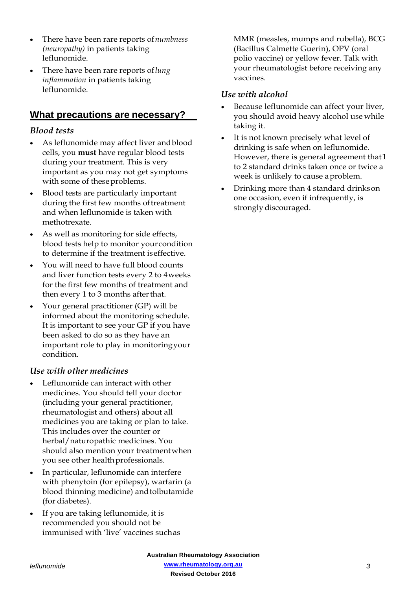- There have been rare reports of*numbness (neuropathy)* in patients taking leflunomide.
- There have been rare reports of*lung inflammation* in patients taking leflunomide.

# **What precautions are necessary?**

#### *Blood tests*

- As leflunomide may affect liver andblood cells, you **must** have regular blood tests during your treatment. This is very important as you may not get symptoms with some of these problems.
- Blood tests are particularly important during the first few months of treatment and when leflunomide is taken with methotrexate.
- As well as monitoring for side effects, blood tests help to monitor yourcondition to determine if the treatment iseffective.
- You will need to have full blood counts and liver function tests every 2 to 4weeks for the first few months of treatment and then every 1 to 3 months after that.
- Your general practitioner (GP) will be informed about the monitoring schedule. It is important to see your GP if you have been asked to do so as they have an important role to play in monitoringyour condition.

#### *Use with other medicines*

- Leflunomide can interact with other medicines. You should tell your doctor (including your general practitioner, rheumatologist and others) about all medicines you are taking or plan to take. This includes over the counter or herbal/naturopathic medicines. You should also mention your treatmentwhen you see other healthprofessionals.
- In particular, leflunomide can interfere with phenytoin (for epilepsy), warfarin (a blood thinning medicine) andtolbutamide (for diabetes).
- If you are taking leflunomide, it is recommended you should not be immunised with 'live' vaccines suchas

MMR (measles, mumps and rubella), BCG (Bacillus Calmette Guerin), OPV (oral polio vaccine) or yellow fever. Talk with your rheumatologist before receiving any vaccines.

#### *Use with alcohol*

- Because leflunomide can affect your liver, you should avoid heavy alcohol use while taking it.
- It is not known precisely what level of drinking is safe when on leflunomide. However, there is general agreement that1 to 2 standard drinks taken once or twice a week is unlikely to cause aproblem.
- Drinking more than 4 standard drinkson one occasion, even if infrequently, is strongly discouraged.